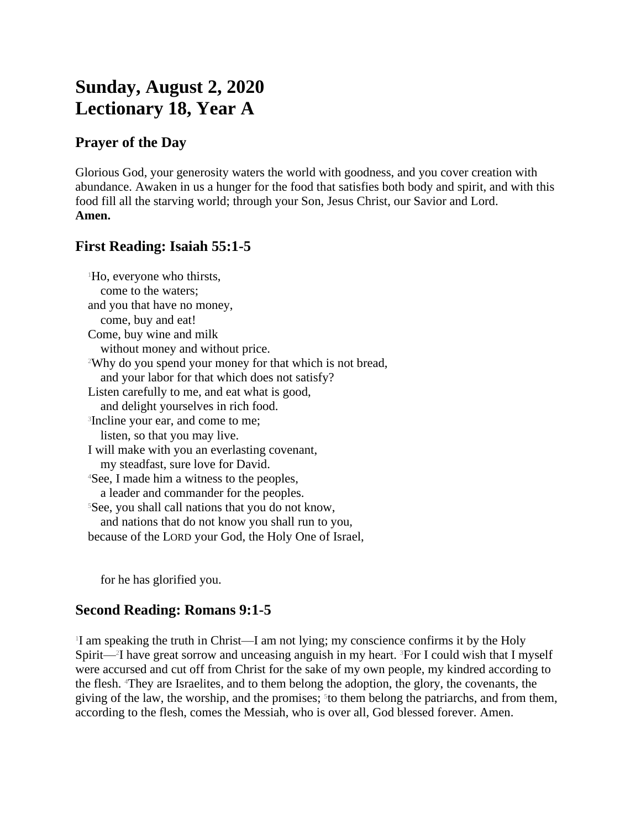# **Sunday, August 2, 2020 Lectionary 18, Year A**

## **Prayer of the Day**

Glorious God, your generosity waters the world with goodness, and you cover creation with abundance. Awaken in us a hunger for the food that satisfies both body and spirit, and with this food fill all the starving world; through your Son, Jesus Christ, our Savior and Lord. **Amen.**

# **First Reading: Isaiah 55:1-5**

| <sup>1</sup> Ho, everyone who thirsts,                                |
|-----------------------------------------------------------------------|
| come to the waters;                                                   |
| and you that have no money,                                           |
| come, buy and eat!                                                    |
| Come, buy wine and milk                                               |
| without money and without price.                                      |
| <sup>2</sup> Why do you spend your money for that which is not bread, |
| and your labor for that which does not satisfy?                       |
| Listen carefully to me, and eat what is good,                         |
| and delight yourselves in rich food.                                  |
| <sup>3</sup> Incline your ear, and come to me;                        |
| listen, so that you may live.                                         |
| I will make with you an everlasting covenant,                         |
| my steadfast, sure love for David.                                    |
| <sup>4</sup> See, I made him a witness to the peoples,                |
| a leader and commander for the peoples.                               |
| <sup>5</sup> See, you shall call nations that you do not know,        |
| and nations that do not know you shall run to you,                    |
| because of the LORD your God, the Holy One of Israel,                 |

for he has glorified you.

### **Second Reading: Romans 9:1-5**

1 I am speaking the truth in Christ—I am not lying; my conscience confirms it by the Holy Spirit—<sup>2</sup>I have great sorrow and unceasing anguish in my heart. <sup>3</sup>For I could wish that I myself were accursed and cut off from Christ for the sake of my own people, my kindred according to the flesh. 4They are Israelites, and to them belong the adoption, the glory, the covenants, the giving of the law, the worship, and the promises; <sup>5</sup> to them belong the patriarchs, and from them, according to the flesh, comes the Messiah, who is over all, God blessed forever. Amen.